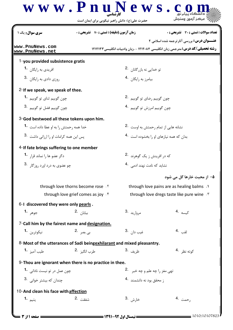## كارشناسي **[w w w . P n u N e w s . c o m](http://www.PnuNews.com)** حضرت علي(ع): دانش راهبر نيكويي براي ايمان است نعداد سوالات : تستي : 30 - تشريحي : . • زمان آزمون (دقيقه) : تستي : 70 - تشريحي : 0 - ، ، ، ، ، ، ، ، ، ، ، ، سري سوال : يك 1 **عنـــوان درس:** بررسی آثارترجمه شده اسلامی ۲ **[www.PnuNews.com](http://pnunews.com) رشته تحصیلی/کد درس: متر**جمی زبان انگلیسی ۱۲۱۲۰۸۴ - ،زبان وادبیات انگلیسی ۱۲۱۲۱۳۳ **[www.PnuNews.net](http://pnunews.net)**1-you provided subsistence gratis **1.** افريدي به رايگان **.1** تو خدایی نه بازرگانان <sup>.2</sup> نیست به منطقه است که افرید است که افرید به مناطقه است که این مناطقه است که است که است 3. في المستقطع التي تروزي دادي به رايگان  $\,$  4.  $\,$ بیامرز به رایگان <sup>۹</sup>۰ نفسی به مناطق به مناطق به مناطق به مناطق به مناطق به مناطق به مناطق به مناطق به مناطق به م 2-If we speak, we speak of thee. **1.** جون گوييم ثناي تو گوييم **1.** چون گوییم رضای تو گوییم <sup>۲</sup>۰ نفست میشود. است که است می توان گوییم ثنا چون گوييم امرزش تو گوييم .4 جون گوييم فضل تو گوييم .3 3-God bestwoed all these tokens upon him. ام رحمتش به اوست <sup>. 2</sup>. خدا همه رحمتش را به او عطا داده است **1.** نشانه هایی از تم !- .-3. 4. بدان که همه نیازهای او را بخشوده است <sup>۹۰</sup> پس این همه کرام 4-If fate brings suffering to one member 4 -( -**1.** 2. که د<sub>ر</sub> افرینش ; یک گوهرند <sup>.2</sup> - 3. 4. % 6 !- / -, ۵– از محبت خارها گل می شود through love thorns become rose  $\cdot$  r and through love pains are as healing balms  $\cdot$  M through love grief comes as joy  $\cdot$ <sup>۴</sup> bhrough love dregs taste like pure wine  $\cdot$ <sup>٣</sup> 6-I discovered they were only **pearls**. مرواريد <sup>3</sup>. 3. مرواريد 3. 4. وهر 1**.** هرواريد 3. 4. مرواريد 3. 4. مربع 1. 4. مربع 1. 4. مربع 1. 4. مربع 1. 4. وهر \*; - -7-Call him by the fairest name and designation. 0= > ?@ ?AB **1.** 2. 3. 4. 8-Most of the utterances of Sadi bein<u>gexhilarant</u> and mixed pleasantry. كوته نظر <sup>.4</sup> طرب انگيز .2 طيب آميز **.1** 9- Thou are ignorant when there is no practice in thee. .<br>- 2. يون عمل در تو نيست نادان<sub>ى.</sub> • 1 تهى مغز را چه علم و چه خبر 2. چندان که بیشتر خوانی .3 ز محقق بود نه دانشمند 4. 10-And clean his face with affection رحمت .4 خارش <sup>3.</sup> شفقت <sup>2</sup>. شفقت بـ 1 مسموع بيتيم .1 من المركز المسموع التي يتيم .1 من المركز المركز المركز المركز المركز ا **1. 2. 2. 2. 2. 2. 2. 3. 1. 4.**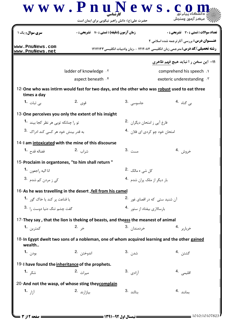|                                                   | حضرت علی(ع): دانش راهبر نیکویی برای ایمان است                                                 |                                          |                                                                                        |  |
|---------------------------------------------------|-----------------------------------------------------------------------------------------------|------------------------------------------|----------------------------------------------------------------------------------------|--|
| <b>سری سوال :</b> یک ۱                            | <b>زمان آزمون (دقیقه) : تستی : 70 گشریحی : 0</b>                                              |                                          | <b>تعداد سوالات : تستي : 30 ٪ تشريحي : 0</b>                                           |  |
| www.PnuNews.com                                   |                                                                                               |                                          | <b>عنـــوان درس:</b> بررسي آثارترجمه شده اسلامي 2                                      |  |
| www.PnuNews.net                                   |                                                                                               |                                          | <b>رشته تحصیلی/کد درس:</b> مترجمی زبان انگلیسی ۱۲۱۲۰۸۴ - ،زبان وادبیات انگلیسی ۱۲۱۲۱۳۳ |  |
|                                                   |                                                                                               |                                          | <b>۱۱- این سخن ر ۱ نباید هیچ فهم ظاهری</b>                                             |  |
|                                                   | ladder of knowledge . Y                                                                       |                                          | comprehend his speech.                                                                 |  |
|                                                   | aspect beneath . f                                                                            |                                          | exoteric underestanding . \v                                                           |  |
| times a day                                       | 12-One who was intirm would fast for two days, and the other who was robust used to eat three |                                          |                                                                                        |  |
| ب <sub>ی</sub> ثبات <b>1</b> ۰                    | قوى .2                                                                                        | جاسوسے <sub>،</sub> 3.                   | ب <sub>ی</sub> گناہ <sup>.4</sup>                                                      |  |
|                                                   | 13-One perceives you only the extent of his insight                                           |                                          |                                                                                        |  |
| تو را چنانکه تویی هر نظر کجا بیند <b>1</b>        |                                                                                               | فارغ آيي ز امتحان ديگران 2.              |                                                                                        |  |
| به قدر بینش خود هر کسی کند اد,اک۔ <sup>3</sup>    |                                                                                               | امتحان خود چو کردی ای فلان <sup>.4</sup> |                                                                                        |  |
|                                                   | 14-I am intoxicated with the mine of this discourse                                           |                                          |                                                                                        |  |
| فضاله قدح <b>1</b> ۰                              | شراب <sup>.2</sup>                                                                            | مست .3                                   | خروش .4                                                                                |  |
|                                                   | 15-Proclaim in organtones, "to him shall return"                                              |                                          |                                                                                        |  |
| انا اليه <sub>ر</sub> اجعون <sup>1</sup> ۰        |                                                                                               | کل شي <sub>،</sub> ۽ مالک 2.             |                                                                                        |  |
| کی ز مردن کم شدم .3                               |                                                                                               | بار دیگر از ملک بران شدم <sup>4</sup> ۰  |                                                                                        |  |
|                                                   | 16-As he was travelling in the desert, fell from his camel                                    |                                          |                                                                                        |  |
| یا قناعت پر کند یا خاک گو <sub>ر</sub> <b>1</b> ۰ |                                                                                               | آن شنید ستی که در اقصای غور 2.           |                                                                                        |  |
| 3. الله عشم تنگ دنيا دوست 1, 3.                   |                                                                                               |                                          | بارسالاری بیفتاد از ستور 4.                                                            |  |
|                                                   | 17-They say, that the lion is theking of beasts, and theass the meanest of animal             |                                          |                                                                                        |  |
| كمترين <b>1.</b>                                  | خى .2                                                                                         | خ <sub>ر دمندان .3</sub>                 | خرباربر 4.                                                                             |  |
| wealth                                            | 18-In Egypt dwelt two sons of a nobleman, one of whom acquired learning and the other gained  |                                          |                                                                                        |  |
| بودن <b>1.</b>                                    | اندوختن .2                                                                                    | شد <sub>ن</sub> .3                       | گشتن . <sup>4</sup>                                                                    |  |
|                                                   | 19-I have found the inheritance of the prophets.                                              |                                          |                                                                                        |  |
| شکر <b>1.</b>                                     | ميراث 2.                                                                                      | 3. آزادی                                 | اقلیمی .4                                                                              |  |
|                                                   | 20-And not the wasp, of whose sting theycomplain                                              |                                          |                                                                                        |  |
| $1.$ $j$                                          | بيازارند .2                                                                                   | 3. بنالند                                | بمانند 4.                                                                              |  |